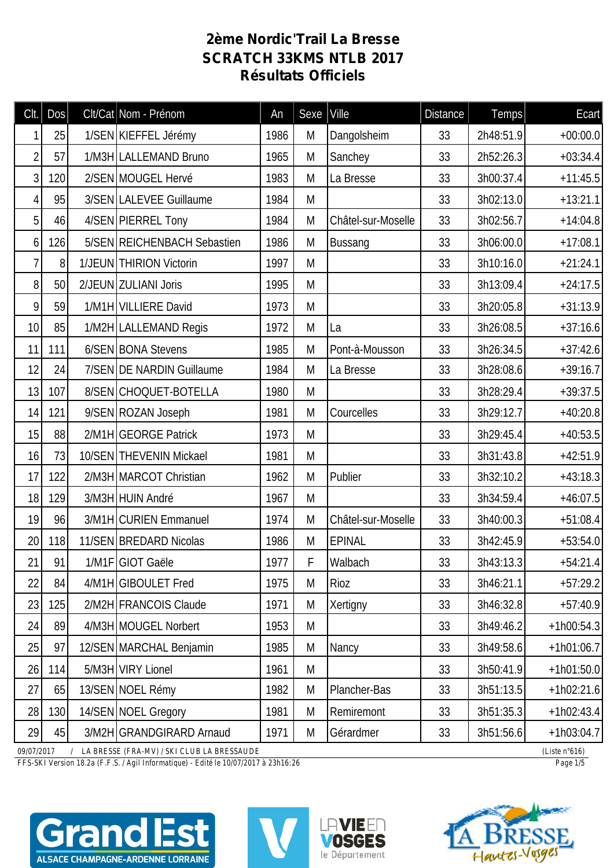## **2ème Nordic'Trail La Bresse SCRATCH 33KMS NTLB 2017 Résultats Officiels**

| Clt.           | <b>Dos</b> | Clt/Cat Nom - Prénom                         | An   | Sexe   Ville |                    | <b>Distance</b> | Temps     | Ecart                   |
|----------------|------------|----------------------------------------------|------|--------------|--------------------|-----------------|-----------|-------------------------|
| 1              | 25         | 1/SEN KIEFFEL Jérémy                         | 1986 | M            | Dangolsheim        | 33              | 2h48:51.9 | $+00:00.0$              |
| $\overline{2}$ | 57         | 1/M3H LALLEMAND Bruno                        | 1965 | M            | Sanchey            | 33              | 2h52:26.3 | $+03:34.4$              |
| 3              | 120        | 2/SEN MOUGEL Hervé                           | 1983 | M            | La Bresse          | 33              | 3h00:37.4 | $+11:45.5$              |
| 4              | 95         | 3/SEN LALEVEE Guillaume                      | 1984 | M            |                    | 33              | 3h02:13.0 | $+13:21.1$              |
| 5              | 46         | 4/SEN PIERREL Tony                           | 1984 | M            | Châtel-sur-Moselle | 33              | 3h02:56.7 | $+14:04.8$              |
| 6              | 126        | 5/SEN REICHENBACH Sebastien                  | 1986 | M            | <b>Bussang</b>     | 33              | 3h06:00.0 | $+17:08.1$              |
| 7              | 8          | 1/JEUN THIRION Victorin                      | 1997 | M            |                    | 33              | 3h10:16.0 | $+21:24.1$              |
| 8              | 50         | 2/JEUN ZULIANI Joris                         | 1995 | M            |                    | 33              | 3h13:09.4 | $+24:17.5$              |
| 9              | 59         | 1/M1H VILLIERE David                         | 1973 | M            |                    | 33              | 3h20:05.8 | $+31:13.9$              |
| 10             | 85         | 1/M2H LALLEMAND Regis                        | 1972 | M            | La                 | 33              | 3h26:08.5 | $+37:16.6$              |
| 11             | 111        | 6/SEN BONA Stevens                           | 1985 | M            | Pont-à-Mousson     | 33              | 3h26:34.5 | $+37:42.6$              |
| 12             | 24         | 7/SEN DE NARDIN Guillaume                    | 1984 | M            | La Bresse          | 33              | 3h28:08.6 | $+39:16.7$              |
| 13             | 107        | 8/SEN CHOQUET-BOTELLA                        | 1980 | M            |                    | 33              | 3h28:29.4 | $+39:37.5$              |
| 14             | 121        | 9/SEN ROZAN Joseph                           | 1981 | M            | Courcelles         | 33              | 3h29:12.7 | $+40:20.8$              |
| 15             | 88         | 2/M1H GEORGE Patrick                         | 1973 | M            |                    | 33              | 3h29:45.4 | $+40:53.5$              |
| 16             | 73         | 10/SEN THEVENIN Mickael                      | 1981 | M            |                    | 33              | 3h31:43.8 | $+42:51.9$              |
| 17             | 122        | 2/M3H MARCOT Christian                       | 1962 | M            | Publier            | 33              | 3h32:10.2 | $+43:18.3$              |
| 18             | 129        | 3/M3H HUIN André                             | 1967 | M            |                    | 33              | 3h34:59.4 | $+46:07.5$              |
| 19             | 96         | 3/M1H CURIEN Emmanuel                        | 1974 | M            | Châtel-sur-Moselle | 33              | 3h40:00.3 | $+51:08.4$              |
| 20             | 118        | 11/SEN BREDARD Nicolas                       | 1986 | M            | <b>EPINAL</b>      | 33              | 3h42:45.9 | $+53:54.0$              |
| 21             | 91         | 1/M1F GIOT Gaële                             | 1977 | F            | Walbach            | 33              | 3h43:13.3 | $+54:21.4$              |
| 22             | 84         | 4/M1H GIBOULET Fred                          | 1975 | M            | Rioz               | 33              | 3h46:21.1 | $+57:29.2$              |
| 23             | 125        | 2/M2H FRANCOIS Claude                        | 1971 | M            | Xertigny           | 33              | 3h46:32.8 | $+57:40.9$              |
| 24             | 89         | 4/M3H MOUGEL Norbert                         | 1953 | M            |                    | 33              | 3h49:46.2 | $+1h00:54.3$            |
| 25             | 97         | 12/SEN MARCHAL Benjamin                      | 1985 | M            | Nancy              | 33              | 3h49:58.6 | $+1h01:06.7$            |
| 26             | 114        | 5/M3H VIRY Lionel                            | 1961 | M            |                    | 33              | 3h50:41.9 | $+1h01:50.0$            |
| 27             | 65         | 13/SEN NOEL Rémy                             | 1982 | M            | Plancher-Bas       | 33              | 3h51:13.5 | $+1h02:21.6$            |
| 28             | 130        | 14/SEN NOEL Gregory                          | 1981 | M            | Remiremont         | 33              | 3h51:35.3 | $+1h02:43.4$            |
| 29             | 45         | 3/M2H GRANDGIRARD Arnaud                     | 1971 | M            | Gérardmer          | 33              | 3h51:56.6 | $+1h03:04.7$            |
| 09/07/2017     |            | / LA BRESSE (FRA-MV) / SKI CLUB LA BRESSAUDE |      |              |                    |                 |           | (Liste $n^{\circ}616$ ) |

*FFS-SKI Version 18.2a (F.F.S. / Agil Informatique) - Edité le 10/07/2017 à 23h16:26 Page 1/5*







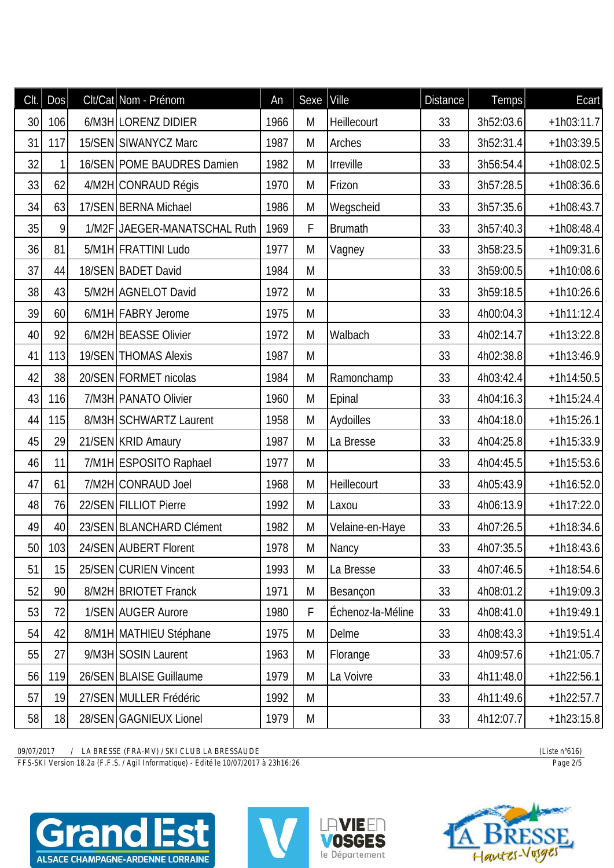| Clt. | DOS    | Clt/Cat Nom - Prénom         | An   | Sexe        | Ville             | <b>Distance</b> | Temps     | Ecart        |
|------|--------|------------------------------|------|-------------|-------------------|-----------------|-----------|--------------|
| 30   | 106    | 6/M3H LORENZ DIDIER          | 1966 | M           | Heillecourt       | 33              | 3h52:03.6 | $+1h03:11.7$ |
| 31   | 117    | 15/SEN SIWANYCZ Marc         | 1987 | M           | Arches            | 33              | 3h52:31.4 | $+1h03:39.5$ |
| 32   | 1      | 16/SEN POME BAUDRES Damien   | 1982 | M           | Irreville         | 33              | 3h56:54.4 | $+1h08:02.5$ |
| 33   | 62     | 4/M2H CONRAUD Régis          | 1970 | M           | Frizon            | 33              | 3h57:28.5 | $+1h08:36.6$ |
| 34   | 63     | 17/SEN BERNA Michael         | 1986 | M           | Wegscheid         | 33              | 3h57:35.6 | $+1h08:43.7$ |
| 35   | 9      | 1/M2F JAEGER-MANATSCHAL Ruth | 1969 | $\mathsf F$ | <b>Brumath</b>    | 33              | 3h57:40.3 | $+1h08:48.4$ |
| 36   | 81     | 5/M1H FRATTINI Ludo          | 1977 | M           | Vagney            | 33              | 3h58:23.5 | $+1h09:31.6$ |
| 37   | 44     | 18/SEN BADET David           | 1984 | M           |                   | 33              | 3h59:00.5 | $+1h10:08.6$ |
| 38   | 43     | 5/M2H AGNELOT David          | 1972 | M           |                   | 33              | 3h59:18.5 | $+1h10:26.6$ |
| 39   | 60     | 6/M1H FABRY Jerome           | 1975 | M           |                   | 33              | 4h00:04.3 | $+1h11:12.4$ |
| 40   | 92     | 6/M2H BEASSE Olivier         | 1972 | M           | Walbach           | 33              | 4h02:14.7 | $+1h13:22.8$ |
| 41   | 113    | 19/SEN THOMAS Alexis         | 1987 | M           |                   | 33              | 4h02:38.8 | $+1h13:46.9$ |
| 42   | 38     | 20/SEN FORMET nicolas        | 1984 | M           | Ramonchamp        | 33              | 4h03:42.4 | $+1h14:50.5$ |
| 43   | 116    | 7/M3H PANATO Olivier         | 1960 | M           | Epinal            | 33              | 4h04:16.3 | $+1h15:24.4$ |
| 44   | 115    | 8/M3H SCHWARTZ Laurent       | 1958 | M           | Aydoilles         | 33              | 4h04:18.0 | $+1h15:26.1$ |
| 45   | 29     | 21/SEN KRID Amaury           | 1987 | M           | La Bresse         | 33              | 4h04:25.8 | $+1h15:33.9$ |
| 46   | 11     | 7/M1H ESPOSITO Raphael       | 1977 | M           |                   | 33              | 4h04:45.5 | $+1h15:53.6$ |
| 47   | 61     | 7/M2H CONRAUD Joel           | 1968 | M           | Heillecourt       | 33              | 4h05:43.9 | $+1h16:52.0$ |
| 48   | 76     | 22/SEN FILLIOT Pierre        | 1992 | M           | Laxou             | 33              | 4h06:13.9 | $+1h17:22.0$ |
| 49   | 40     | 23/SEN BLANCHARD Clément     | 1982 | M           | Velaine-en-Haye   | 33              | 4h07:26.5 | $+1h18:34.6$ |
|      | 50 103 | 24/SEN AUBERT Florent        | 1978 | M           | Nancy             | 33              | 4h07:35.5 | $+1h18:43.6$ |
| 51   | 15     | 25/SEN CURIEN Vincent        | 1993 | M           | La Bresse         | 33              | 4h07:46.5 | $+1h18:54.6$ |
| 52   | 90     | 8/M2H BRIOTET Franck         | 1971 | M           | Besançon          | 33              | 4h08:01.2 | $+1h19:09.3$ |
| 53   | 72     | 1/SEN AUGER Aurore           | 1980 | F           | Échenoz-la-Méline | 33              | 4h08:41.0 | $+1h19:49.1$ |
| 54   | 42     | 8/M1H MATHIEU Stéphane       | 1975 | M           | Delme             | 33              | 4h08:43.3 | $+1h19:51.4$ |
| 55   | 27     | 9/M3H SOSIN Laurent          | 1963 | M           | Florange          | 33              | 4h09:57.6 | $+1h21:05.7$ |
| 56   | 119    | 26/SEN BLAISE Guillaume      | 1979 | M           | La Voivre         | 33              | 4h11:48.0 | $+1h22:56.1$ |
| 57   | 19     | 27/SEN MULLER Frédéric       | 1992 | M           |                   | 33              | 4h11:49.6 | $+1h22:57.7$ |
| 58   | 18     | 28/SEN GAGNIEUX Lionel       | 1979 | M           |                   | 33              | 4h12:07.7 | $+1h23:15.8$ |

*FFS-SKI Version 18.2a (F.F.S. / Agil Informatique) - Edité le 10/07/2017 à 23h16:26 Page 2/5*







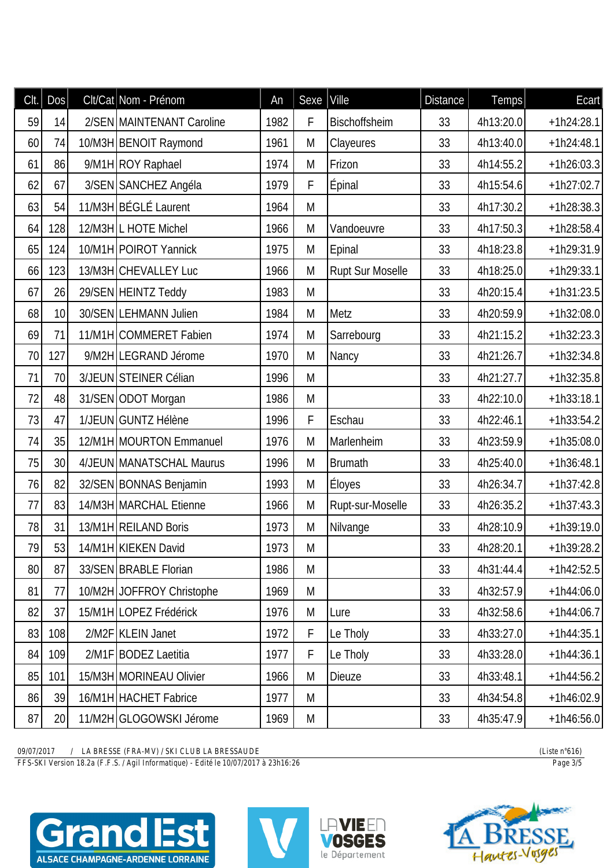| CIt. | DOS | Clt/Cat Nom - Prénom      | An   | Sexe      | Ville            | <b>Distance</b> | Temps     | Ecart <sup> </sup> |
|------|-----|---------------------------|------|-----------|------------------|-----------------|-----------|--------------------|
| 59   | 14  | 2/SEN MAINTENANT Caroline | 1982 | F         | Bischoffsheim    | 33              | 4h13:20.0 | $+1h24:28.1$       |
| 60   | 74  | 10/M3H BENOIT Raymond     | 1961 | M         | Clayeures        | 33              | 4h13:40.0 | $+1h24:48.1$       |
| 61   | 86  | 9/M1H ROY Raphael         | 1974 | M         | Frizon           | 33              | 4h14:55.2 | $+1h26:03.3$       |
| 62   | 67  | 3/SEN SANCHEZ Angéla      | 1979 | F         | Épinal           | 33              | 4h15:54.6 | $+1h27:02.7$       |
| 63   | 54  | 11/M3H BÉGLÉ Laurent      | 1964 | M         |                  | 33              | 4h17:30.2 | $+1h28:38.3$       |
| 64   | 128 | 12/M3H L HOTE Michel      | 1966 | M         | Vandoeuvre       | 33              | 4h17:50.3 | $+1h28:58.4$       |
| 65   | 124 | 10/M1H POIROT Yannick     | 1975 | M         | Epinal           | 33              | 4h18:23.8 | $+1h29:31.9$       |
| 66   | 123 | 13/M3H CHEVALLEY Luc      | 1966 | M         | Rupt Sur Moselle | 33              | 4h18:25.0 | $+1h29:33.1$       |
| 67   | 26  | 29/SEN HEINTZ Teddy       | 1983 | M         |                  | 33              | 4h20:15.4 | $+1h31:23.5$       |
| 68   | 10  | 30/SEN LEHMANN Julien     | 1984 | M         | Metz             | 33              | 4h20:59.9 | $+1h32:08.0$       |
| 69   | 71  | 11/M1H COMMERET Fabien    | 1974 | M         | Sarrebourg       | 33              | 4h21:15.2 | $+1h32:23.3$       |
| 70   | 127 | 9/M2H LEGRAND Jérome      | 1970 | M         | Nancy            | 33              | 4h21:26.7 | $+1h32:34.8$       |
| 71   | 70  | 3/JEUN STEINER Célian     | 1996 | M         |                  | 33              | 4h21:27.7 | $+1h32:35.8$       |
| 72   | 48  | 31/SEN ODOT Morgan        | 1986 | M         |                  | 33              | 4h22:10.0 | $+1h33:18.1$       |
| 73   | 47  | 1/JEUN GUNTZ Hélène       | 1996 | F         | Eschau           | 33              | 4h22:46.1 | $+1h33:54.2$       |
| 74   | 35  | 12/M1H MOURTON Emmanuel   | 1976 | M         | Marlenheim       | 33              | 4h23:59.9 | $+1h35:08.0$       |
| 75   | 30  | 4/JEUN MANATSCHAL Maurus  | 1996 | M         | <b>Brumath</b>   | 33              | 4h25:40.0 | $+1h36:48.1$       |
| 76   | 82  | 32/SEN BONNAS Benjamin    | 1993 | M         | Éloyes           | 33              | 4h26:34.7 | $+1h37:42.8$       |
| 77   | 83  | 14/M3H MARCHAL Etienne    | 1966 | M         | Rupt-sur-Moselle | 33              | 4h26:35.2 | $+1h37:43.3$       |
| 78   | 31  | 13/M1H REILAND Boris      | 1973 | ${\sf M}$ | Nilvange         | 33              | 4h28:10.9 | $+1h39:19.0$       |
| 79   | 53  | 14/M1H KIEKEN David       | 1973 | M         |                  | 33              | 4h28:20.1 | $+1h39:28.2$       |
| 80   | 87  | 33/SEN BRABLE Florian     | 1986 | M         |                  | 33              | 4h31:44.4 | $+1h42:52.5$       |
| 81   | 77  | 10/M2H JOFFROY Christophe | 1969 | M         |                  | 33              | 4h32:57.9 | $+1h44:06.0$       |
| 82   | 37  | 15/M1H LOPEZ Frédérick    | 1976 | M         | Lure             | 33              | 4h32:58.6 | $+1h44:06.7$       |
| 83   | 108 | 2/M2F KLEIN Janet         | 1972 | F         | Le Tholy         | 33              | 4h33:27.0 | $+1h44:35.1$       |
| 84   | 109 | 2/M1F   BODEZ Laetitia    | 1977 | F         | Le Tholy         | 33              | 4h33:28.0 | $+1h44:36.1$       |
| 85   | 101 | 15/M3H MORINEAU Olivier   | 1966 | M         | <b>Dieuze</b>    | 33              | 4h33:48.1 | $+1h44:56.2$       |
| 86   | 39  | 16/M1H HACHET Fabrice     | 1977 | M         |                  | 33              | 4h34:54.8 | $+1h46:02.9$       |
| 87   | 20  | 11/M2H GLOGOWSKI Jérome   | 1969 | M         |                  | 33              | 4h35:47.9 | $+1h46:56.0$       |

*FFS-SKI Version 18.2a (F.F.S. / Agil Informatique) - Edité le 10/07/2017 à 23h16:26 Page 3/5*







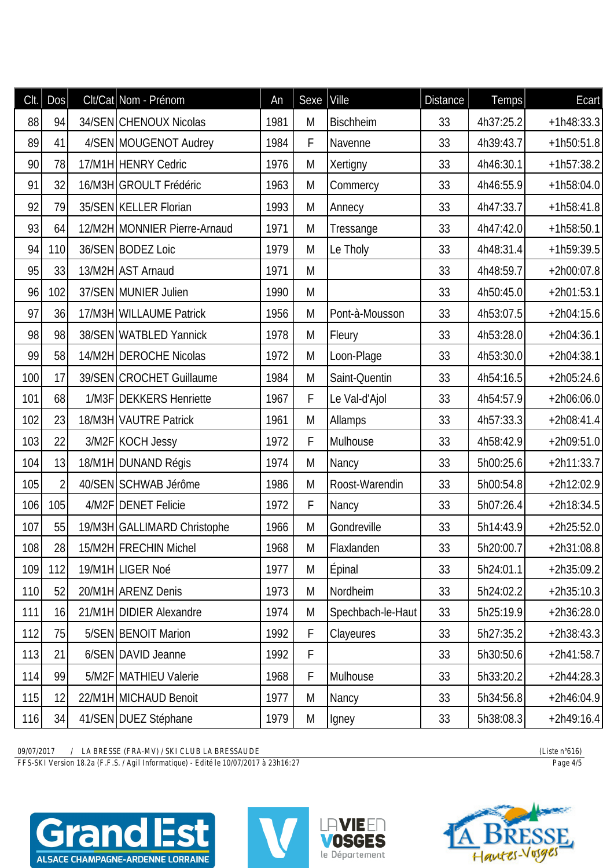| Clt. | DOS            | Clt/Cat Nom - Prénom         | An   | Sexe | Ville             | <b>Distance</b> | Temps     | Ecart        |
|------|----------------|------------------------------|------|------|-------------------|-----------------|-----------|--------------|
| 88   | 94             | 34/SEN CHENOUX Nicolas       | 1981 | M    | <b>Bischheim</b>  | 33              | 4h37:25.2 | $+1h48:33.3$ |
| 89   | 41             | 4/SEN MOUGENOT Audrey        | 1984 | F    | Navenne           | 33              | 4h39:43.7 | $+1h50:51.8$ |
| 90   | 78             | 17/M1H HENRY Cedric          | 1976 | M    | Xertigny          | 33              | 4h46:30.1 | $+1h57:38.2$ |
| 91   | 32             | 16/M3H GROULT Frédéric       | 1963 | M    | Commercy          | 33              | 4h46:55.9 | $+1h58:04.0$ |
| 92   | 79             | 35/SEN KELLER Florian        | 1993 | M    | Annecy            | 33              | 4h47:33.7 | $+1h58:41.8$ |
| 93   | 64             | 12/M2H MONNIER Pierre-Arnaud | 1971 | M    | Tressange         | 33              | 4h47:42.0 | $+1h58:50.1$ |
| 94   | 110            | 36/SEN BODEZ Loic            | 1979 | M    | Le Tholy          | 33              | 4h48:31.4 | $+1h59:39.5$ |
| 95   | 33             | 13/M2H AST Arnaud            | 1971 | M    |                   | 33              | 4h48:59.7 | $+2h00:07.8$ |
| 96   | 102            | 37/SEN MUNIER Julien         | 1990 | M    |                   | 33              | 4h50:45.0 | $+2h01:53.1$ |
| 97   | 36             | 17/M3H WILLAUME Patrick      | 1956 | M    | Pont-à-Mousson    | 33              | 4h53:07.5 | $+2h04:15.6$ |
| 98   | 98             | 38/SEN WATBLED Yannick       | 1978 | M    | Fleury            | 33              | 4h53:28.0 | $+2h04:36.1$ |
| 99   | 58             | 14/M2H DEROCHE Nicolas       | 1972 | M    | Loon-Plage        | 33              | 4h53:30.0 | $+2h04:38.1$ |
| 100  | 17             | 39/SEN CROCHET Guillaume     | 1984 | M    | Saint-Quentin     | 33              | 4h54:16.5 | $+2h05:24.6$ |
| 101  | 68             | 1/M3F   DEKKERS Henriette    | 1967 | F    | Le Val-d'Ajol     | 33              | 4h54:57.9 | $+2h06:06.0$ |
| 102  | 23             | 18/M3H VAUTRE Patrick        | 1961 | M    | Allamps           | 33              | 4h57:33.3 | $+2h08:41.4$ |
| 103  | 22             | 3/M2F KOCH Jessy             | 1972 | F    | Mulhouse          | 33              | 4h58:42.9 | $+2h09:51.0$ |
| 104  | 13             | 18/M1H DUNAND Régis          | 1974 | M    | Nancy             | 33              | 5h00:25.6 | $+2h11:33.7$ |
| 105  | $\overline{2}$ | 40/SEN SCHWAB Jérôme         | 1986 | M    | Roost-Warendin    | 33              | 5h00:54.8 | $+2h12:02.9$ |
| 106  | 105            | 4/M2F   DENET Felicie        | 1972 | F    | Nancy             | 33              | 5h07:26.4 | $+2h18:34.5$ |
| 107  | 55             | 19/M3H GALLIMARD Christophe  | 1966 | M    | Gondreville       | 33              | 5h14:43.9 | $+2h25:52.0$ |
| 108  | 28             | 15/M2H FRECHIN Michel        | 1968 | M    | Flaxlanden        | 33              | 5h20:00.7 | $+2h31:08.8$ |
| 109  | 112            | 19/M1H LIGER Noé             | 1977 | M    | <b>Épinal</b>     | 33              | 5h24:01.1 | $+2h35:09.2$ |
| 110  | 52             | 20/M1H ARENZ Denis           | 1973 | M    | Nordheim          | 33              | 5h24:02.2 | $+2h35:10.3$ |
| 111  | 16             | 21/M1H DIDIER Alexandre      | 1974 | M    | Spechbach-le-Haut | 33              | 5h25:19.9 | $+2h36:28.0$ |
| 112  | 75             | 5/SEN BENOIT Marion          | 1992 | F    | Clayeures         | 33              | 5h27:35.2 | $+2h38:43.3$ |
| 113  | 21             | 6/SEN DAVID Jeanne           | 1992 | F    |                   | 33              | 5h30:50.6 | $+2h41:58.7$ |
| 114  | 99             | 5/M2F MATHIEU Valerie        | 1968 | F    | Mulhouse          | 33              | 5h33:20.2 | $+2h44:28.3$ |
| 115  | 12             | 22/M1H MICHAUD Benoit        | 1977 | M    | Nancy             | 33              | 5h34:56.8 | $+2h46:04.9$ |
| 116  | 34             | 41/SEN DUEZ Stéphane         | 1979 | M    | Igney             | 33              | 5h38:08.3 | $+2h49:16.4$ |

*FFS-SKI Version 18.2a (F.F.S. / Agil Informatique) - Edité le 10/07/2017 à 23h16:27 Page 4/5*